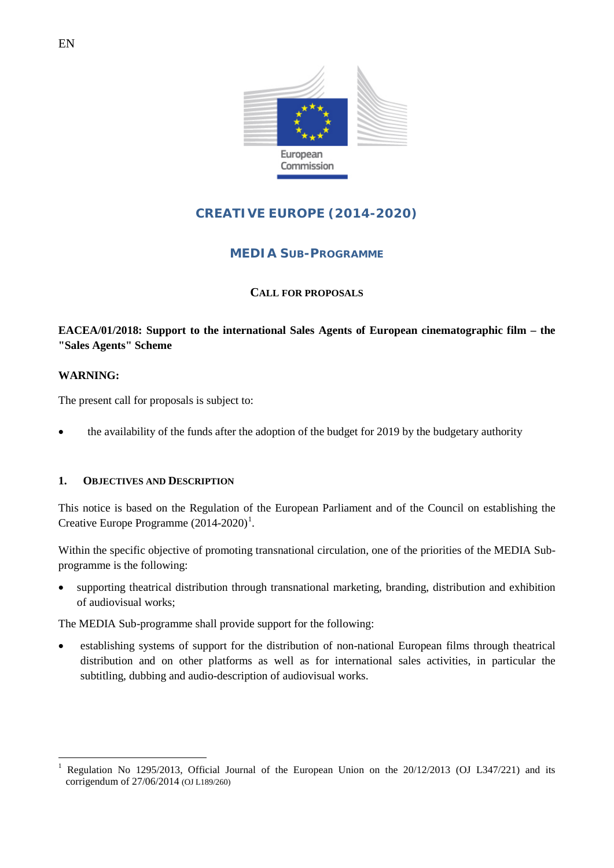

# **CREATIVE EUROPE (2014-2020)**

# **MEDIA SUB-PROGRAMME**

### **CALL FOR PROPOSALS**

## **EACEA/01/2018: Support to the international Sales Agents of European cinematographic film – the "Sales Agents" Scheme**

#### **WARNING:**

The present call for proposals is subject to:

• the availability of the funds after the adoption of the budget for 2019 by the budgetary authority

#### **1. OBJECTIVES AND DESCRIPTION**

This notice is based on the Regulation of the European Parliament and of the Council on establishing the Creative Europe Programme  $(2014-2020)^1$  $(2014-2020)^1$  $(2014-2020)^1$ .

Within the specific objective of promoting transnational circulation, one of the priorities of the MEDIA Subprogramme is the following:

• supporting theatrical distribution through transnational marketing, branding, distribution and exhibition of audiovisual works;

The MEDIA Sub-programme shall provide support for the following:

• establishing systems of support for the distribution of non-national European films through theatrical distribution and on other platforms as well as for international sales activities, in particular the subtitling, dubbing and audio-description of audiovisual works.

<span id="page-0-0"></span>Regulation No 1295/2013, Official Journal of the European Union on the 20/12/2013 (OJ L347/221) and its corrigendum of 27/06/2014 (OJ L189/260)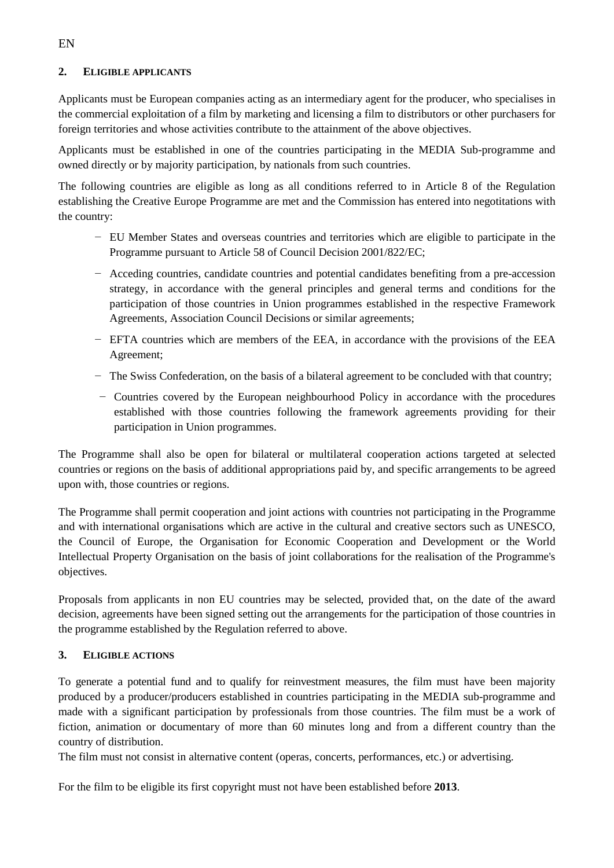#### **2. ELIGIBLE APPLICANTS**

Applicants must be European companies acting as an intermediary agent for the producer, who specialises in the commercial exploitation of a film by marketing and licensing a film to distributors or other purchasers for foreign territories and whose activities contribute to the attainment of the above objectives.

Applicants must be established in one of the countries participating in the MEDIA Sub-programme and owned directly or by majority participation, by nationals from such countries.

The following countries are eligible as long as all conditions referred to in Article 8 of the Regulation establishing the Creative Europe Programme are met and the Commission has entered into negotitations with the country:

- − EU Member States and overseas countries and territories which are eligible to participate in the Programme pursuant to Article 58 of Council Decision 2001/822/EC;
- − Acceding countries, candidate countries and potential candidates benefiting from a pre-accession strategy, in accordance with the general principles and general terms and conditions for the participation of those countries in Union programmes established in the respective Framework Agreements, Association Council Decisions or similar agreements;
- − EFTA countries which are members of the EEA, in accordance with the provisions of the EEA Agreement;
- − The Swiss Confederation, on the basis of a bilateral agreement to be concluded with that country;
- − Countries covered by the European neighbourhood Policy in accordance with the procedures established with those countries following the framework agreements providing for their participation in Union programmes.

The Programme shall also be open for bilateral or multilateral cooperation actions targeted at selected countries or regions on the basis of additional appropriations paid by, and specific arrangements to be agreed upon with, those countries or regions.

The Programme shall permit cooperation and joint actions with countries not participating in the Programme and with international organisations which are active in the cultural and creative sectors such as UNESCO, the Council of Europe, the Organisation for Economic Cooperation and Development or the World Intellectual Property Organisation on the basis of joint collaborations for the realisation of the Programme's objectives.

Proposals from applicants in non EU countries may be selected, provided that, on the date of the award decision, agreements have been signed setting out the arrangements for the participation of those countries in the programme established by the Regulation referred to above.

#### **3. ELIGIBLE ACTIONS**

To generate a potential fund and to qualify for reinvestment measures, the film must have been majority produced by a producer/producers established in countries participating in the MEDIA sub-programme and made with a significant participation by professionals from those countries. The film must be a work of fiction, animation or documentary of more than 60 minutes long and from a different country than the country of distribution.

The film must not consist in alternative content (operas, concerts, performances, etc.) or advertising.

For the film to be eligible its first copyright must not have been established before **2013**.